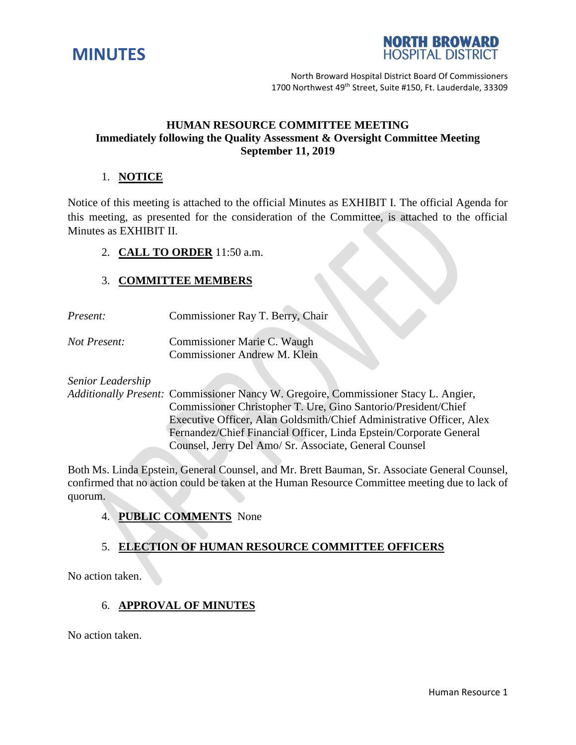



North Broward Hospital District Board Of Commissioners 1700 Northwest 49<sup>th</sup> Street, Suite #150, Ft. Lauderdale, 33309

## **HUMAN RESOURCE COMMITTEE MEETING Immediately following the Quality Assessment & Oversight Committee Meeting September 11, 2019**

## 1. **NOTICE**

Notice of this meeting is attached to the official Minutes as EXHIBIT I. The official Agenda for this meeting, as presented for the consideration of the Committee, is attached to the official Minutes as EXHIBIT II.

#### 2. **CALL TO ORDER** 11:50 a.m.

### 3. **COMMITTEE MEMBERS**

- *Present:* Commissioner Ray T. Berry, Chair
- *Not Present:* Commissioner Marie C. Waugh Commissioner Andrew M. Klein

*Senior Leadership*

*Additionally Present:* Commissioner Nancy W. Gregoire, Commissioner Stacy L. Angier, Commissioner Christopher T. Ure, Gino Santorio/President/Chief Executive Officer, Alan Goldsmith/Chief Administrative Officer, Alex Fernandez/Chief Financial Officer, Linda Epstein/Corporate General Counsel, Jerry Del Amo/ Sr. Associate, General Counsel

Both Ms. Linda Epstein, General Counsel, and Mr. Brett Bauman, Sr. Associate General Counsel, confirmed that no action could be taken at the Human Resource Committee meeting due to lack of quorum.

### 4. **PUBLIC COMMENTS** None

# 5. **ELECTION OF HUMAN RESOURCE COMMITTEE OFFICERS**

No action taken.

# 6. **APPROVAL OF MINUTES**

No action taken.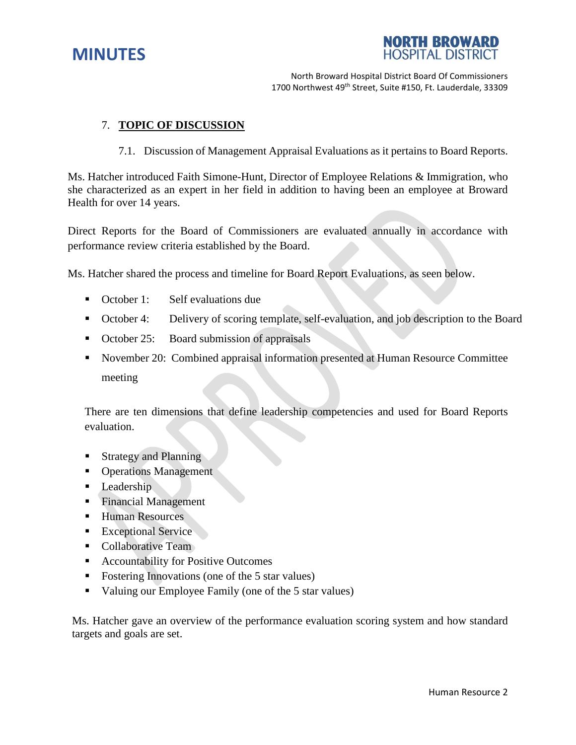# **MINUTES**



North Broward Hospital District Board Of Commissioners 1700 Northwest 49<sup>th</sup> Street, Suite #150, Ft. Lauderdale, 33309

## 7. **TOPIC OF DISCUSSION**

7.1. Discussion of Management Appraisal Evaluations as it pertains to Board Reports.

Ms. Hatcher introduced Faith Simone-Hunt, Director of Employee Relations & Immigration, who she characterized as an expert in her field in addition to having been an employee at Broward Health for over 14 years.

Direct Reports for the Board of Commissioners are evaluated annually in accordance with performance review criteria established by the Board.

Ms. Hatcher shared the process and timeline for Board Report Evaluations, as seen below.

- October 1: Self evaluations due
- October 4: Delivery of scoring template, self-evaluation, and job description to the Board
- October 25: Board submission of appraisals
- November 20: Combined appraisal information presented at Human Resource Committee meeting

There are ten dimensions that define leadership competencies and used for Board Reports evaluation.

- Strategy and Planning
- **•** Operations Management
- Leadership
- **Financial Management**
- Human Resources
- **Exceptional Service**
- Collaborative Team
- Accountability for Positive Outcomes
- Fostering Innovations (one of the 5 star values)
- Valuing our Employee Family (one of the 5 star values)

Ms. Hatcher gave an overview of the performance evaluation scoring system and how standard targets and goals are set.